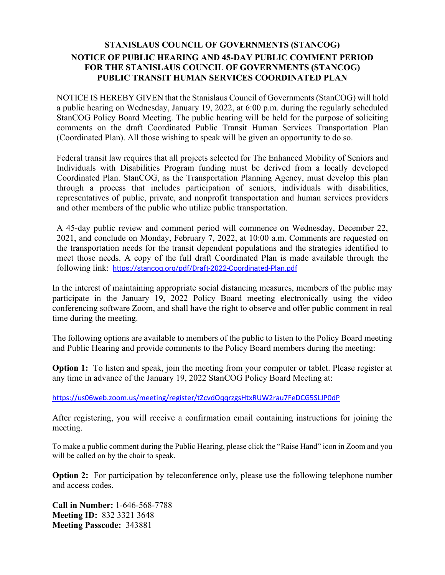## **STANISLAUS COUNCIL OF GOVERNMENTS (STANCOG) NOTICE OF PUBLIC HEARING AND 45-DAY PUBLIC COMMENT PERIOD FOR THE STANISLAUS COUNCIL OF GOVERNMENTS (STANCOG) PUBLIC TRANSIT HUMAN SERVICES COORDINATED PLAN**

NOTICE IS HEREBY GIVEN that the Stanislaus Council of Governments (StanCOG) will hold a public hearing on Wednesday, January 19, 2022, at 6:00 p.m. during the regularly scheduled StanCOG Policy Board Meeting. The public hearing will be held for the purpose of soliciting comments on the draft Coordinated Public Transit Human Services Transportation Plan (Coordinated Plan). All those wishing to speak will be given an opportunity to do so.

Federal transit law requires that all projects selected for The Enhanced Mobility of Seniors and Individuals with Disabilities Program funding must be derived from a locally developed Coordinated Plan. StanCOG, as the Transportation Planning Agency, must develop this plan through a process that includes participation of seniors, individuals with disabilities, representatives of public, private, and nonprofit transportation and human services providers and other members of the public who utilize public transportation.

A 45-day public review and comment period will commence on Wednesday, December 22, 2021, and conclude on Monday, February 7, 2022, at 10:00 a.m. Comments are requested on the transportation needs for the transit dependent populations and the strategies identified to meet those needs. A copy of the full draft Coordinated Plan is made available through the following link: <https://stancog.org/pdf/Draft-2022-Coordinated-Plan.pdf>

In the interest of maintaining appropriate social distancing measures, members of the public may participate in the January 19, 2022 Policy Board meeting electronically using the video conferencing software Zoom, and shall have the right to observe and offer public comment in real time during the meeting.

The following options are available to members of the public to listen to the Policy Board meeting and Public Hearing and provide comments to the Policy Board members during the meeting:

**Option 1:** To listen and speak, join the meeting from your computer or tablet. Please register at any time in advance of the January 19, 2022 StanCOG Policy Board Meeting at:

<https://us06web.zoom.us/meeting/register/tZcvdOqqrzgsHtxRUW2rau7FeDCG5SLJP0dP>

After registering, you will receive a confirmation email containing instructions for joining the meeting.

To make a public comment during the Public Hearing, please click the "Raise Hand" icon in Zoom and you will be called on by the chair to speak.

**Option 2:** For participation by teleconference only, please use the following telephone number and access codes.

**Call in Number:** 1-646-568-7788 **Meeting ID:** 832 3321 3648 **Meeting Passcode:** 343881